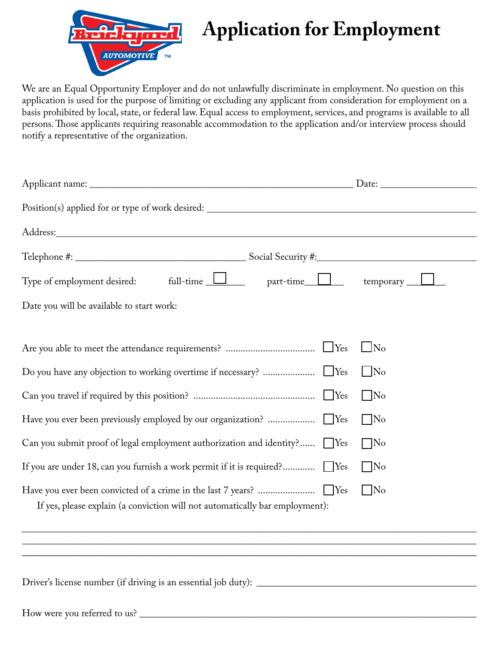

# **Application for Employment**

We are an Equal Opportunity Employer and do not unlawfully discriminate in employment. No question on this application is used for the purpose of limiting or excluding any applicant from consideration for employment on a basis prohibited by local, state, or federal law. Equal access to employment, services, and programs is available to all persons. Those applicants requiring reasonable accommodation to the application and/or interview process should notify a representative of the organization.

| Position(s) applied for or type of work desired: ________________________________                                                                                                                                              |                |  |  |  |
|--------------------------------------------------------------------------------------------------------------------------------------------------------------------------------------------------------------------------------|----------------|--|--|--|
| Address: Andreas Address: Address: Address: Address: Address: Address: Address: Address: Address: Address: Address: Address: Address: Address: Address: Address: Address: Address: Address: Address: Address: Address: Address |                |  |  |  |
|                                                                                                                                                                                                                                |                |  |  |  |
| Type of employment desired: full-time $\Box$ part-time $\Box$ temporary $\Box$                                                                                                                                                 |                |  |  |  |
| Date you will be available to start work:                                                                                                                                                                                      |                |  |  |  |
|                                                                                                                                                                                                                                |                |  |  |  |
|                                                                                                                                                                                                                                | $\bigsqcup$ No |  |  |  |
|                                                                                                                                                                                                                                | $\Box$ No      |  |  |  |
|                                                                                                                                                                                                                                | $\Box$ No      |  |  |  |
|                                                                                                                                                                                                                                | $\Box$ No      |  |  |  |
| Can you submit proof of legal employment authorization and identity? Ves                                                                                                                                                       | $\Box$ No      |  |  |  |
| If you are under 18, can you furnish a work permit if it is required? Yes                                                                                                                                                      | $\Box$ No      |  |  |  |
|                                                                                                                                                                                                                                | $\Box$ No      |  |  |  |
| If yes, please explain (a conviction will not automatically bar employment):                                                                                                                                                   |                |  |  |  |
|                                                                                                                                                                                                                                |                |  |  |  |
|                                                                                                                                                                                                                                |                |  |  |  |
|                                                                                                                                                                                                                                |                |  |  |  |
|                                                                                                                                                                                                                                |                |  |  |  |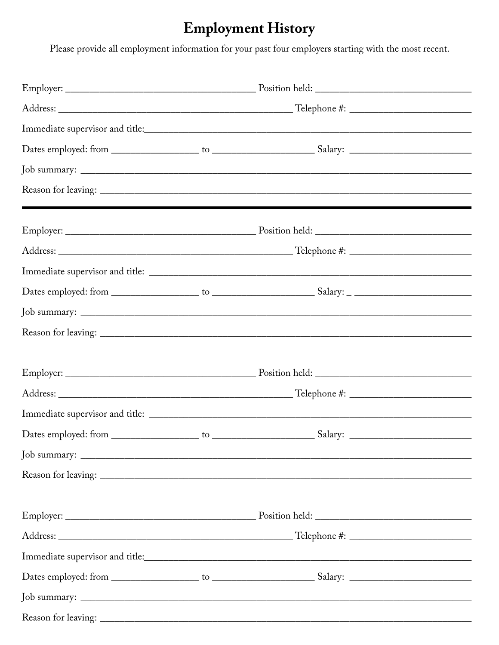## **Employment History**

Please provide all employment information for your past four employers starting with the most recent.

| ,我们也不会有什么?""我们的人,我们也不会有什么?""我们的人,我们也不会有什么?""我们的人,我们也不会有什么?""我们的人,我们也不会有什么?""我们的人 |  |  |  |  |
|----------------------------------------------------------------------------------|--|--|--|--|
|                                                                                  |  |  |  |  |
|                                                                                  |  |  |  |  |
|                                                                                  |  |  |  |  |
|                                                                                  |  |  |  |  |
|                                                                                  |  |  |  |  |
|                                                                                  |  |  |  |  |
|                                                                                  |  |  |  |  |
|                                                                                  |  |  |  |  |
|                                                                                  |  |  |  |  |
|                                                                                  |  |  |  |  |
|                                                                                  |  |  |  |  |
|                                                                                  |  |  |  |  |
|                                                                                  |  |  |  |  |
|                                                                                  |  |  |  |  |
|                                                                                  |  |  |  |  |
|                                                                                  |  |  |  |  |
|                                                                                  |  |  |  |  |
|                                                                                  |  |  |  |  |
|                                                                                  |  |  |  |  |
|                                                                                  |  |  |  |  |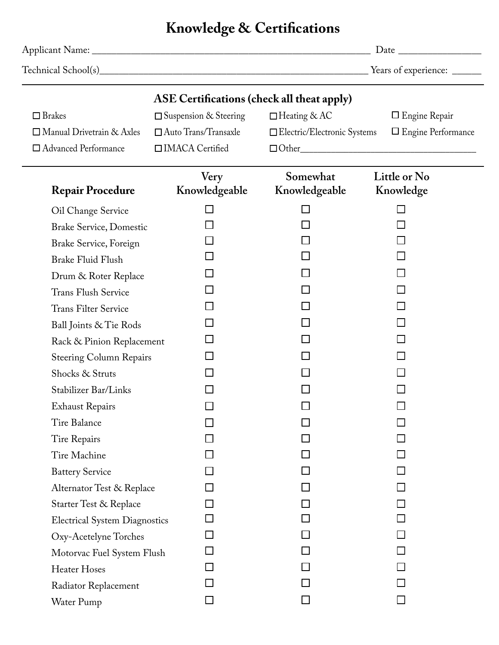## **Knowledge & Certifications**

|                                                   |                                 | Years of experience:          |                           |  |  |  |  |
|---------------------------------------------------|---------------------------------|-------------------------------|---------------------------|--|--|--|--|
| <b>ASE Certifications (check all theat apply)</b> |                                 |                               |                           |  |  |  |  |
| $\Box$ Brakes                                     | $\square$ Suspension & Steering | □ Heating & AC                | $\Box$ Engine Repair      |  |  |  |  |
| $\Box$ Manual Drivetrain & Axles                  | $\Box$ Auto Trans/Transaxle     | □ Electric/Electronic Systems | $\Box$ Engine Performance |  |  |  |  |
| □ Advanced Performance                            | □IMACA Certified                |                               |                           |  |  |  |  |
| <b>Repair Procedure</b>                           | Very<br>Knowledgeable           | Somewhat<br>Knowledgeable     | Little or No<br>Knowledge |  |  |  |  |
| Oil Change Service                                | $\mathsf{L}$                    |                               |                           |  |  |  |  |
| <b>Brake Service, Domestic</b>                    |                                 |                               |                           |  |  |  |  |
| Brake Service, Foreign                            |                                 |                               |                           |  |  |  |  |
| <b>Brake Fluid Flush</b>                          |                                 |                               |                           |  |  |  |  |
| Drum & Roter Replace                              |                                 |                               |                           |  |  |  |  |
| <b>Trans Flush Service</b>                        |                                 |                               |                           |  |  |  |  |
| <b>Trans Filter Service</b>                       |                                 |                               |                           |  |  |  |  |
| Ball Joints & Tie Rods                            |                                 |                               |                           |  |  |  |  |
| Rack & Pinion Replacement                         |                                 |                               |                           |  |  |  |  |
| <b>Steering Column Repairs</b>                    |                                 |                               |                           |  |  |  |  |
| Shocks & Struts                                   |                                 |                               |                           |  |  |  |  |
| Stabilizer Bar/Links                              |                                 |                               |                           |  |  |  |  |
| <b>Exhaust Repairs</b>                            |                                 |                               |                           |  |  |  |  |
| Tire Balance                                      |                                 |                               |                           |  |  |  |  |
| Tire Repairs                                      |                                 |                               |                           |  |  |  |  |
| Tire Machine                                      |                                 |                               |                           |  |  |  |  |
| <b>Battery Service</b>                            |                                 |                               |                           |  |  |  |  |
| Alternator Test & Replace                         |                                 |                               |                           |  |  |  |  |
| Starter Test & Replace                            |                                 |                               |                           |  |  |  |  |
| <b>Electrical System Diagnostics</b>              |                                 |                               |                           |  |  |  |  |
| Oxy-Acetelyne Torches                             |                                 |                               |                           |  |  |  |  |
| Motorvac Fuel System Flush                        | <b>College</b>                  |                               |                           |  |  |  |  |
| Heater Hoses                                      |                                 |                               |                           |  |  |  |  |
| Radiator Replacement                              |                                 |                               |                           |  |  |  |  |
| Water Pump                                        | $\mathcal{L}$                   |                               |                           |  |  |  |  |